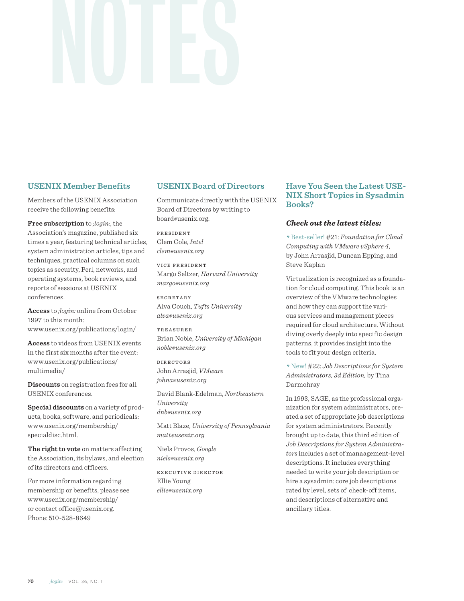# **USENIX Member Benefits**

Members of the USENIX Association receive the following benefits:

**Free subscription** to *;login:*, the Association's magazine, published six times a year, featuring technical articles, system administration articles, tips and techniques, practical columns on such topics as security, Perl, networks, and operating systems, book reviews, and reports of sessions at USENIX conferences.

**Access** to *;login:* online from October 1997 to this month: www.usenix.org/publications/login/

**Access** to videos from USENIX events in the first six months after the event: www.usenix.org/publications/ multimedia/

**Discounts** on registration fees for all USENIX conferences.

**Special discounts** on a variety of products, books, software, and periodicals: www.usenix.org/membership/ specialdisc.html.

**The right to vote** on matters affecting the Association, its bylaws, and election of its directors and officers.

For more information regarding membership or benefits, please see www.usenix.org/membership/ or contact office@usenix.org. Phone: 510-528-8649

# **USENIX Board of Directors**

Communicate directly with the USENIX Board of Directors by writing to board*@*usenix.org.

PRESIDENT Clem Cole, *Intel clem@usenix.org*

VICE PRESIDENT Margo Seltzer, *Harvard University margo@usenix.org*

SECRETARY Alva Couch, *Tufts University alva@usenix.org*

TREASURER Brian Noble, *University of Michigan noble@usenix.org*

DIRECTORS John Arrasjid, *VMware johna@usenix.org*

David Blank-Edelman, *Northeastern University dnb@usenix.org*

Matt Blaze, *University of Pennsylvania matt@usenix.org*

Niels Provos, *Google niels@usenix.org*

EXECUTIVE DIRECTOR Ellie Young *ellie@usenix.org*

# **Have You Seen the Latest USE-NIX Short Topics in Sysadmin Books?**

### *Check out the latest titles:*

>Best-seller! #21: *Foundation for Cloud Computing with VMware vSphere 4,*  by John Arrasjid, Duncan Epping, and Steve Kaplan

Virtualization is recognized as a foundation for cloud computing. This book is an overview of the VMware technologies and how they can support the various services and management pieces required for cloud architecture. Without diving overly deeply into specific design patterns, it provides insight into the tools to fit your design criteria.

>New! #22: *Job Descriptions for System Administrators, 3d Edition,* by Tina Darmohray

In 1993, SAGE, as the professional organization for system administrators, created a set of appropriate job descriptions for system administrators. Recently brought up to date, this third edition of *Job Descriptions for System Administrators* includes a set of manaagement-level descriptions. It includes everything needed to write your job description or hire a sysadmin: core job descriptions rated by level, sets of check-off items, and descriptions of alternative and ancillary titles.